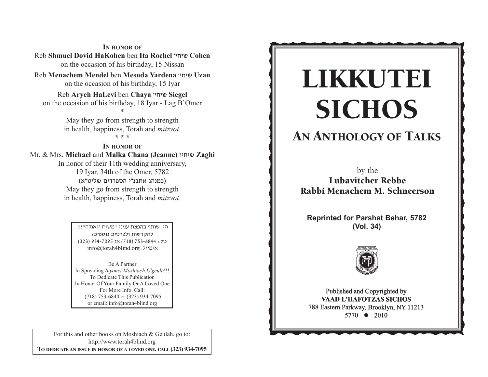**IN HONOR OF** Reb **Shmuel Dovid HaKohen** ben **Ita Rochel** whjha **Cohen**  on the occasion of his birthday, 15 Nissan

Reb **Menachem Mendel** ben **Mesuda Yardena** whjha **Uzan**  on the occasion of his birthday, 15 Iyar

Reb **Aryeh HaLevi** ben **Chaya** whjha **Siegel**  on the occasion of his birthday, 18 Iyar - Lag B'Omer \*

> May they go from strength to strength in health, happiness, Torah and *mitzvot*. **\* \* \***

**IN HONOR OF** Mr. & Mrs. **Michael** and **Malka Chana (Jeanne)** uhjha **Zaghi**  In honor of their 11th wedding anniversary, 19 Iyar, 34th of the Omer, 5782 (כמנהג אחבנ"י הספרדים שליט"א) May they go from strength to strength in health, happiness, Torah and *mitzvot*.

> היי שותף בהפצת עניני "משיח וגאולה"!!! להקדשות ולפרטים נוספים: 05.: 3231 934-7095 (323) או 7095-934 info@torah4blind.org אימייל:

Be A PartnerIn Spreading *Inyonei Moshiach U'geula*!!! To Dedicate This Publication In Honor Of Your Family Or A Loved One For More Info. Call: (718) 753-6844 or (323) 934-7095 or email: info@torah4blind.org

For this and other books on Moshiach & Geulah, go to: http://www.torah4blind.org  $\bf{To \textbf{ DEDICATE \textbf{AN} \textbf{ ISSUE} \textbf{ IN HONOR} \textbf{OF} \textbf{A} \textbf{ LOVED} \textbf{ONE}, \textbf{CALL} \textbf{(323) } 934\textbf{-7095}}$ 

# $\overline{\text{CICHOS}}$ -SICHOS<br>SICHOS<br>by the<br>Lubavitcher Rebbe<br>bi Menachem M. Schnee<br>printed for Parshat Behar, 5<br>(Vol. 34)<br>Published and Copyrighted by<br>Pablished and Copyrighted by<br>Pablished and Copyrighted by<br>Raap L'HAFOTZAS SICHOS<br>5770  $\bullet$  20 -LIKKUTEI SICHOS

# ANIHOLOGY OF TA AN ANTHOLOGY OF TALKS

b b Lubavitcher Rebbe Rabbi Menachem M. Schneerson by the

**Reprinted for Parshat Behar, 5782** C CC **(Vol. 34)**



s eastern Parkway, Brooklyn, NY 112  $5770 \bullet 2010$  $\frac{31}{10}$   $\sqrt{2010}$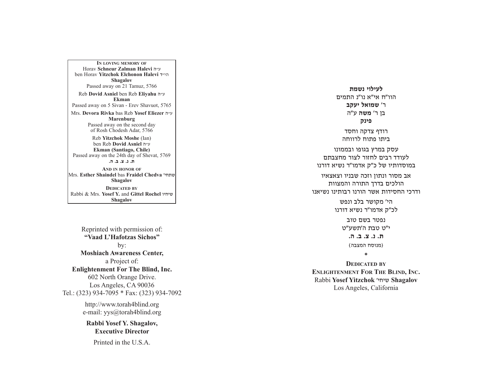A PARALLEL Passed away on 5 Sivan - Erev Shavuot, 5765 **Ekman** SHABBOS **IN LOVING MEMORY OF**Horav **Schneur Zalman Halevi** v"g ben Horav **Yitzchok Elchonon Halevi** s"hv**Shagalov** Passed away on 21 Tamuz, 5766 Reb **Dovid Asniel** ben Reb **Eliyahu** <sup>v</sup>"g Mrs. **Devora Rivka** bas Reb **Yosef Eliezer** v"g **Marenburg** Passed away on the second day of Rosh Chodesh Adar, 5766 Reb **Yitzchok Moshe** (Ian) ben Reb **Dovid Asniel** v"g **Ekman (Santiago, Chile)** Passed away on the 24th day of Shevat, 5769 **/v /c /m /b /,AND IN HONOR OF**Mrs. **Esther Shaindel** bas **Fraidel Chedva** whj,a**Shagalov DEDICATED BY**Rabbi & Mrs. **Yosef Y.** and **Gittel Rochel** uhjha

Reprinted with permission of: **"Vaad L'Hafotzas Sichos"**by: **Moshiach Awareness Center,** a Project of: **Enlightenment For The Blind, Inc.** 602 North Orange Drive. Los Angeles, CA 90036 Tel.: (323) 934-7095 \* Fax: (323) 934-7092 http://www.torah4blind.org

**Shagalov**

e-mail: yys@torah4blind.org

**Rabbi Yosef Y. Shagalov, Executive Director**

Printed in the U.S.A.

**לעילוי נשמת** הוו"ח אי"א נו"נ התמים **ר' שמואל יעקב** בן ר' **משה** ע"ה פינק רודף צדקה וחסד ביתו פתוח לרווחה עסק במרץ בגופו ובממונו לעודד רבים לחזור לצור מחצבתם במוסדותיו של כ"ק אדמו"ר נשיא דורנו

אב מסור ונתון וזכה שבניו וצאצאיו הולכים בדרך התורה והמצוות ודרכי החסידות אשר הורנו רבותינו נשיאנו

> הי' מקושר בלב ונפש לכ"ק אדמו"ר נשיא דורנו נפטר בשם טוב י"ט טבת ה'תשע"ט **ת. נ. צ. ב. ה.** (מנוסח המצבה) **\***

**DEDICATED BYENLIGHTENMENT FOR THE BLIND, INC.** Rabbi **Yosef Yitzchok** whjha **Shagalov** Los Angeles, California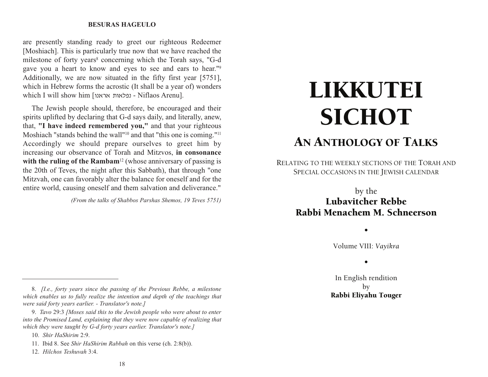#### **BESURAS HAGEULO**

are presently standing ready to greet our righteous Redeemer [Moshiach]. This is particularly true now that we have reached the milestone of forty years<sup>8</sup> concerning which the Torah says, "G-d gave you a heart to know and eyes to see and ears to hear."9 Additionally, we are now situated in the fifty first year [5751], which in Hebrew forms the acrostic (It shall be a year of) wonders which I will show him [עפלאות אראנו - Niflaos Arenu].

The Jewish people should, therefore, be encouraged and their spirits uplifted by declaring that G-d says daily, and literally, anew, that, **"I have indeed remembered you,"** and that your righteous Moshiach "stands behind the wall"<sup>10</sup> and that "this one is coming."<sup>11</sup> Accordingly we should prepare ourselves to greet him by increasing our observance of Torah and Mitzvos, **in consonance** with the ruling of the Rambam<sup>12</sup> (whose anniversary of passing is the 20th of Teves, the night after this Sabbath), that through "one Mitzvah, one can favorably alter the balance for oneself and for the entire world, causing oneself and them salvation and deliverance."

*(From the talks of Shabbos Parshas Shemos, 19 Teves 5751)*

# LIKKUTEI **SICHOT** AN ANTHOLOGY OF TALKS

RELATING TO THE WEEKLY SECTIONS OF THE TORAH AND SPECIAL OCCASIONS IN THE JEWISH CALENDAR

> by the Lubavitcher Rebbe Rabbi Menachem M. Schneerson

> > Volume VIII: *Vayikra*

•

•

In English rendition by Rabbi Eliyahu Touger

<sup>8.</sup> *[I.e., forty years since the passing of the Previous Rebbe, a milestone which enables us to fully realize the intention and depth of the teachings that were said forty years earlier. - Translator's note.]*

<sup>9.</sup> *Tavo* 29:3 *[Moses said this to the Jewish people who were about to enter into the Promised Land, explaining that they were now capable of realizing that which they were taught by G-d forty years earlier. Translator's note.]*

<sup>10.</sup> *Shir HaShirim* 2:9.

<sup>11.</sup> Ibid 8. See *Shir HaShirim Rabbah* on this verse (ch. 2:8(b)).

<sup>12.</sup> *Hilchos Teshuvah* 3:4.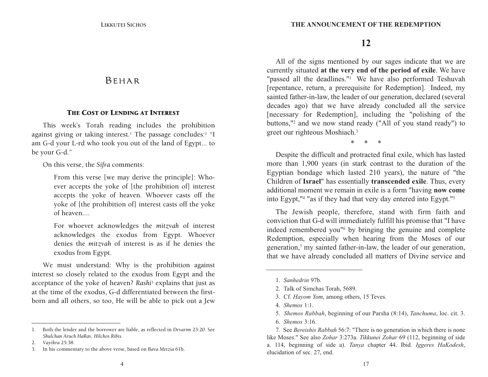# BEHAR

#### THE COST OF LENDING AT INTEREST

This week's Torah reading includes the prohibition against giving or taking interest.<sup>1</sup> The passage concludes:<sup>2</sup> "I am G-d your L-rd who took you out of the land of Egypt... to be your G-d."

On this verse, the *Sifra* comments:

From this verse [we may derive the principle]: Whoever accepts the yoke of [the prohibition of] interest accepts the yoke of heaven. Whoever casts off the yoke of [the prohibition of] interest casts off the yoke of heaven....

For whoever acknowledges the *mitzvah* of interest acknowledges the exodus from Egypt. Whoever denies the *mitzvah* of interest is as if he denies the exodus from Egypt.

We must understand: Why is the prohibition against interest so closely related to the exodus from Egypt and the acceptance of the yoke of heaven? *Rashi*3 explains that just as at the time of the exodus, G-d differentiated between the firstborn and all others, so too, He will be able to pick out a Jew

## **12**

All of the signs mentioned by our sages indicate that we are currently situated **at the very end of the period of exile**. We have "passed all the deadlines."<sup>1</sup> We have also performed Teshuvah [repentance, return, a prerequisite for Redemption]. Indeed, my sainted father-in-law, the leader of our generation, declared (several decades ago) that we have already concluded all the service [necessary for Redemption], including the "polishing of the buttons,"2 and we now stand ready ("All of you stand ready") to greet our righteous Moshiach.3

\*     \*     \*

Despite the difficult and protracted final exile, which has lasted more than 1,900 years (in stark contrast to the duration of the Egyptian bondage which lasted 210 years), the nature of "the Children of **Israel**" has essentially **transcended exile**. Thus, every additional moment we remain in exile is a form "having **now come** into Egypt,"4 "as if they had that very day entered into Egypt."5

The Jewish people, therefore, stand with firm faith and conviction that G-d will immediately fulfill his promise that "I have indeed remembered you"6 by bringing the genuine and complete Redemption, especially when hearing from the Moses of our generation,7 my sainted father-in-law, the leader of our generation, that we have already concluded all matters of Divine service and

<sup>1.</sup> Both the lender and the borrower are liable, as reflected in *Devarim* 23:20. See *Shulchan Aruch HaRav, Hilchos Ribis.*

<sup>2.</sup> *Vayikra* 25:38.

<sup>3.</sup> In his commentary to the above verse, based on *Bava Metzia* 61b.

<sup>1.</sup> *Sanhedrin* 97b.

<sup>2.</sup> Talk of Simchas Torah, 5689.

<sup>3.</sup> Cf. *Hayom Yom*, among others, 15 Teves.

<sup>4.</sup> *Shemos* 1:1.

<sup>5.</sup> *Shemos Rabbah*, beginning of our Parsha (8:14), *Tanchuma*, loc. cit. 3.

<sup>6.</sup> *Shemos* 3:16.

<sup>7.</sup> See *Bereishis Rabbah* 56:7: "There is no generation in which there is none like Moses." See also *Zohar* 3:273a. *Tikkunei Zohar* 69 (112, beginning of side a. 114, beginning of side a). *Tanya* chapter 44. Ibid. *Iggeres HaKodesh*, elucidation of sec. 27, end.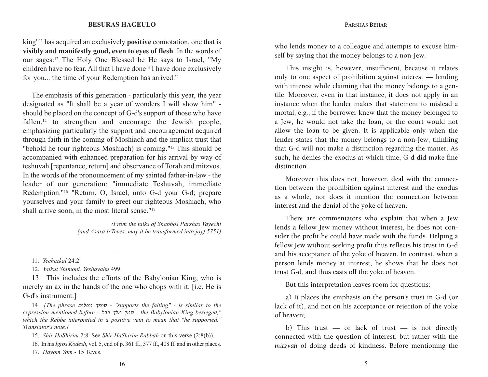#### **PARSHAS BEHAR**

#### **BESURAS HAGEULO**

king"11 has acquired an exclusively **positive** connotation, one that is **visibly and manifestly good, even to eyes of flesh**. In the words of our sages:<sup>12</sup> The Holy One Blessed be He says to Israel, "My children have no fear. All that I have done<sup>13</sup> I have done exclusively for you... the time of your Redemption has arrived."

The emphasis of this generation - particularly this year, the year designated as "It shall be a year of wonders I will show him" should be placed on the concept of G-d's support of those who have fallen,<sup>14</sup> to strengthen and encourage the Jewish people, emphasizing particularly the support and encouragement acquired through faith in the coming of Moshiach and the implicit trust that "behold he (our righteous Moshiach) is coming."15 This should be accompanied with enhanced preparation for his arrival by way of teshuvah [repentance, return] and observance of Torah and mitzvos. In the words of the pronouncement of my sainted father-in-law - the leader of our generation: "immediate Teshuvah, immediate Redemption."16 "Return, O, Israel, unto G-d your G-d; prepare yourselves and your family to greet our righteous Moshiach, who shall arrive soon, in the most literal sense."17

> *(From the talks of Shabbos Parshas Vayechi (and Asara b'Teves, may it be transformed into joy) 5751)*

13. This includes the efforts of the Babylonian King, who is merely an ax in the hands of the one who chops with it. [i.e. He is G-d's instrument.]

14 *[The phrase* ohkpub lnux *- "supports the falling" - is similar to the expression mentioned before -* kcc lkn lnx *- the Babylonian King besieged," which the Rebbe interpreted in a positive vein to mean that "he supported." Translator's note.]*

15. *Shir HaShirim* 2:8. See *Shir HaShirim Rabbah* on this verse (2:8(b)).

16. In his *Igros Kodesh*, vol. 5, end of p. 361 ff., 377 ff., 408 ff. and in other places. 17. *Hayom Yom* - 15 Teves.

who lends money to a colleague and attempts to excuse himself by saying that the money belongs to a non-Jew.

that G-d will not make a distinction regarding the matter. As such, he denies the exodus at which time, G-d did make fine This insight is, however, insufficient, because it relates only to one aspect of prohibition against interest — lending with interest while claiming that the money belongs to a gentile. Moreover, even in that instance, it does not apply in an instance when the lender makes that statement to mislead a mortal, e.g., if the borrower knew that the money belonged to a Jew, he would not take the loan, or the court would not allow the loan to be given. It is applicable only when the lender states that the money belongs to a non-Jew, thinking distinction.

Moreover this does not, however, deal with the connection between the prohibition against interest and the exodus as a whole, nor does it mention the connection between interest and the denial of the yoke of heaven.

There are commentators who explain that when a Jew lends a fellow Jew money without interest, he does not consider the profit he could have made with the funds. Helping a fellow Jew without seeking profit thus reflects his trust in G-d and his acceptance of the yoke of heaven. In contrast, when a person lends money at interest, he shows that he does not trust G-d, and thus casts off the yoke of heaven.

But this interpretation leaves room for questions:

a) It places the emphasis on the person's trust in G-d (or lack of it), and not on his acceptance or rejection of the yoke of heaven;

b) This trust  $-$  or lack of trust  $-$  is not directly connected with the question of interest, but rather with the *mitzvah* of doing deeds of kindness. Before mentioning the

<sup>11.</sup> *Yechezkal* 24:2.

<sup>12.</sup> *Yalkut Shimoni, Yeshayahu* 499.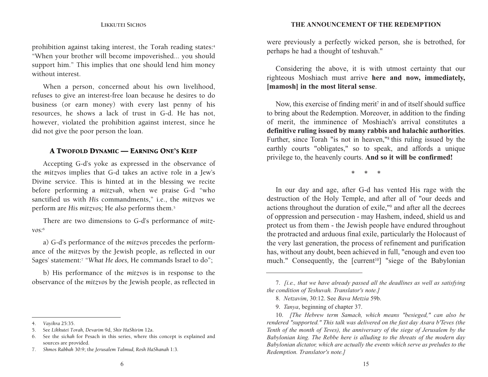prohibition against taking interest, the Torah reading states:<sup>4</sup> "When your brother will become impoverished... you should support him." This implies that one should lend him money without interest.

business (or earn money) with every last penny of his When a person, concerned about his own livelihood, refuses to give an interest-free loan because he desires to do resources, he shows a lack of trust in G-d. He has not, however, violated the prohibition against interest, since he did not give the poor person the loan.

### A TWOFOLD DYNAMIC — EARNING ONE'S KEEP

Accepting G-d's yoke as expressed in the observance of the *mitzvos* implies that G-d takes an active role in a Jew's Divine service. This is hinted at in the blessing we recite before performing a *mitzvah*, when we praise G-d "who sanctified us with *His* commandments," i.e., the *mitzvos* we perform are *His mitzvos;* He *also* performs them.5

There are two dimensions to G-d's performance of *mitzvos:*<sup>6</sup>

a) G-d's performance of the *mitzvos* precedes the performance of the *mitzvos* by the Jewish people, as reflected in our Sages' statement:7 "*What He does,* He commands Israel to do";

b) His performance of the *mitzvos* is in response to the observance of the *mitzvos* by the Jewish people, as reflected in were previously a perfectly wicked person, she is betrothed, for perhaps he had a thought of teshuvah."

Considering the above, it is with utmost certainty that our righteous Moshiach must arrive **here and now, immediately, [mamosh] in the most literal sense**.

Now, this exercise of finding merit<sup> $7$ </sup> in and of itself should suffice to bring about the Redemption. Moreover, in addition to the finding of merit, the imminence of Moshiach's arrival constitutes a **definitive ruling issued by many rabbis and halachic authorities**. Further, since Torah "is not in heaven,"8 this ruling issued by the earthly courts "obligates," so to speak, and affords a unique privilege to, the heavenly courts. **And so it will be confirmed!**

\*     \*     \*

In our day and age, after G-d has vented His rage with the destruction of the Holy Temple, and after all of "our deeds and actions throughout the duration of exile,"9 and after all the decrees of oppression and persecution - may Hashem, indeed, shield us and protect us from them - the Jewish people have endured throughout the protracted and arduous final exile, particularly the Holocaust of the very last generation, the process of refinement and purification has, without any doubt, been achieved in full, "enough and even too much." Consequently, the [current<sup>10</sup>] "siege of the Babylonian

<sup>4.</sup> *Vayikra* 25:35.

<sup>5.</sup> See *Likkutei Torah, Devarim* 9d, *Shir HaShirim* 12a.

<sup>6.</sup> See the *sichah* for Pesach in this series, where this concept is explained and sources are provided.

<sup>7.</sup> *Shmos Rabbah* 30:9; the *Jerusalem Talmud, Rosh HaShanah* 1:3.

<sup>7.</sup> *[i.e., that we have already passed all the deadlines as well as satisfying the condition of Teshuvah. Translator's note.]*

<sup>8.</sup> *Netzavim*, 30:12. See *Bava Metzia* 59b.

<sup>9.</sup> *Tanya*, beginning of chapter 37.

<sup>10.</sup> *[The Hebrew term Samach, which means "besieged," can also be rendered "supported." This talk was delivered on the fast day Asara b'Teves (the Tenth of the month of Teves), the anniversary of the siege of Jerusalem by the Babylonian king. The Rebbe here is alluding to the threats of the modern day Babylonian dictator, which are actually the events which serve as preludes to the Redemption. Translator's note.]*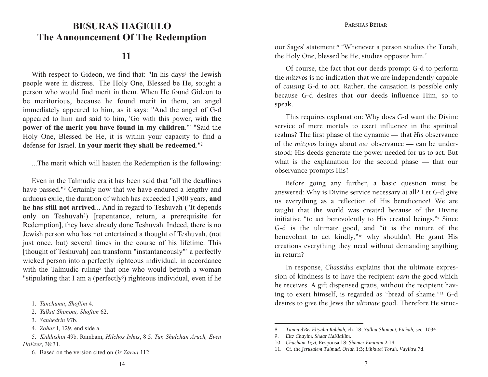# **BESURAS HAGEULO BESURAS HAGEULOThe Announcement Of The Redemption**

# **11**

With respect to Gideon, we find that: "In his days<sup>1</sup> the Jewish people were in distress. The Holy One, Blessed be He, sought a person who would find merit in them. When He found Gideon to be meritorious, because he found merit in them, an angel immediately appeared to him, as it says: "And the angel of G-d appeared to him and said to him, 'Go with this power, with **the power of the merit you have found in my children**.'" "Said the Holy One, Blessed be He, it is within your capacity to find a defense for Israel. **In your merit they shall be redeemed**."2

...The merit which will hasten the Redemption is the following:

Even in the Talmudic era it has been said that "all the deadlineshave passed."<sup>3</sup> Certainly now that we have endured a lengthy and arduous exile, the duration of which has exceeded 1,900 years, **and he has still not arrived**... And in regard to Teshuvah ("It depends only on Teshuvah<sup>3</sup>) [repentance, return, a prerequisite for Redemption], they have already done Teshuvah. Indeed, there is no Jewish person who has not entertained a thought of Teshuvah, (not just once, but) several times in the course of his lifetime. This [thought of Teshuvah] can transform "instantaneously"<sup>4</sup> a perfectly wicked person into a perfectly righteous individual, in accordance with the Talmudic ruling<sup>5</sup> that one who would betroth a woman "stipulating that I am a (perfectly $\delta$ ) righteous individual, even if he

our Sages' statement:8 "Whenever a person studies the Torah, the Holy One, blessed be He, studies opposite him."

Of course, the fact that our deeds prompt G-d to perform the *mitzvos* is no indication that we are independently capable of *causing* G-d to act. Rather, the causation is possible only because G-d desires that our deeds influence Him, so to speak.

stood; His deeds generate the power needed for us to act. But This requires explanation: Why does G-d want the Divine service of mere mortals to exert influence in the spiritual realms? The first phase of the dynamic — that *His* observance of the *mitzvos* brings about *our* observance — can be underwhat is the explanation for the second phase — that our observance prompts His?

Before going any further, a basic question must be answered: Why is Divine service necessary at all? Let G-d give us everything as a reflection of His beneficence! We are taught that the world was created because of the Divine initiative "to act benevolently to His created beings."9 Since G-d is the ultimate good, and "it is the nature of the benevolent to act kindly,"10 why shouldn't He grant His creations everything they need without demanding anything in return?

In response, *Chassidus* explains that the ultimate expression of kindness is to have the recipient *earn* the good which he receives. A gift dispensed gratis, without the recipient having to exert himself, is regarded as "bread of shame."11 G-d desires to give the Jews the *ultimate* good. Therefore He struc-

<sup>1.</sup> *Tanchuma*, *Shoftim* 4.

<sup>2.</sup> *Yalkut Shimoni, Shoftim* 62.

<sup>3.</sup> *Sanhedrin* 97b.

<sup>4.</sup> *Zohar* I, 129, end side a.

<sup>5.</sup> *Kiddushin* 49b. Rambam, *Hilchos Ishus*, 8:5. *Tur, Shulchan Aruch, Even HoEzer*, 38:31.

<sup>6.</sup> Based on the version cited on *Or Zarua* 112.

<sup>8.</sup> *Tanna d'Bei Eliyahu Rabbah,* ch. 18; *Yalkut Shimoni, Eichah,* sec. 1034.

<sup>9.</sup> *Eitz Chayim, Shaar HaKlallim.*

<sup>10.</sup> *Chacham Tzvi,* Responsa 18; *Shomer Emunim* 2:14.

<sup>11.</sup> Cf. the *Jerusalem Talmud, Orlah* 1:3; *Likkutei Torah, Vayikra* 7d.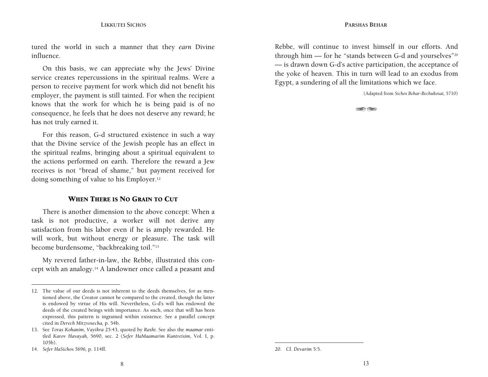tured the world in such a manner that they *earn* Divine influence.

knows that the work for which he is being paid is of no On this basis, we can appreciate why the Jews' Divine service creates repercussions in the spiritual realms. Were a person to receive payment for work which did not benefit his employer, the payment is still tainted. For when the recipient consequence, he feels that he does not deserve any reward; he has not truly earned it.

For this reason, G-d structured existence in such a way that the Divine service of the Jewish people has an effect in the spiritual realms, bringing about a spiritual equivalent to the actions performed on earth. Therefore the reward a Jew receives is not "bread of shame," but payment received for doing something of value to his Employer.12

#### WHEN THERE IS NO GRAIN TO CUT

There is another dimension to the above concept: When a task is not productive, a worker will not derive any satisfaction from his labor even if he is amply rewarded. He will work, but without energy or pleasure. The task will become burdensome, "backbreaking toil."13

My revered father-in-law, the Rebbe, illustrated this concept with an analogy.14 A landowner once called a peasant and Rebbe, will continue to invest himself in our efforts. And through him — for he "stands between G-d and yourselves"20 — is drawn down G-d's active participation, the acceptance of the yoke of heaven. This in turn will lead to an exodus from Egypt, a sundering of all the limitations which we face.

(Adapted from *Sichos Behar-Bechukosai,* 5710)

-- 1920

<sup>12.</sup> The value of our deeds is not inherent to the deeds themselves, for as mentioned above, the Creator cannot be compared to the created, though the latter is endowed by virtue of His will. Nevertheless, G-d's will has endowed the deeds of the created beings with importance. As such, once that will has been expressed, this pattern is ingrained within existence. See a parallel concept cited in *Derech Mitzvosecha,* p. 54b.

<sup>13.</sup> See *Toras Kohanim, Vayikra* 25:43, quoted by *Rashi.* See also the *maamar* entitled *Karov Havayah,* 5690, sec. 2 (*Sefer HaMaamarim Kuntreisim,* Vol. I, p. 105b).

<sup>14.</sup> *Sefer HaSichos 5696,* p. 114ff.

<sup>20.</sup> Cf. *Devarim* 5:5.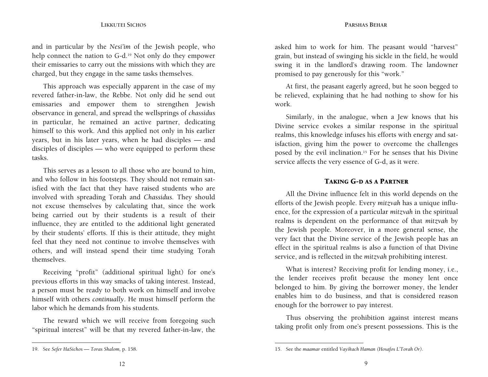and in particular by the *Nesi'im* of the Jewish people, who help connect the nation to G-d.<sup>19</sup> Not only do they empower their emissaries to carry out the missions with which they are charged, but they engage in the same tasks themselves.

emissaries and empower them to strengthen Jewish This approach was especially apparent in the case of my revered father-in-law, the Rebbe. Not only did he send out observance in general, and spread the wellsprings of *chassidus*  in particular, he remained an active partner, dedicating himself to this work. And this applied not only in his earlier years, but in his later years, when he had disciples — and disciples of disciples — who were equipped to perform these tasks.

This serves as a lesson to all those who are bound to him, and who follow in his footsteps. They should not remain satisfied with the fact that they have raised students who are involved with spreading Torah and *Chassidus.* They should not excuse themselves by calculating that, since the work being carried out by their students is a result of their influence, they are entitled to the additional light generated by their students' efforts. If this is their attitude, they might feel that they need not continue to involve themselves with others, and will instead spend their time studying Torah themselves.

Receiving "profit" (additional spiritual light) for one's previous efforts in this way smacks of taking interest. Instead, a person must be ready to both work on himself and involve himself with others *continually*. He must himself perform the labor which he demands from his students.

The reward which we will receive from foregoing such "spiritual interest" will be that my revered father-in-law, the

At first, the peasant eagerly agreed, but he soon begged to be relieved, explaining that he had nothing to show for his work.

posed by the evil inclination.<sup>15</sup> For he senses that his Divine Similarly, in the analogue, when a Jew knows that his Divine service evokes a similar response in the spiritual realms, this knowledge infuses his efforts with energy and satisfaction, giving him the power to overcome the challenges service affects the very essence of G-d, as it were.

#### TAKING G-D AS A PARTNER

All the Divine influence felt in this world depends on the efforts of the Jewish people. Every *mitzvah* has a unique influence, for the expression of a particular *mitzvah* in the spiritual realms is dependent on the performance of that *mitzvah* by the Jewish people. Moreover, in a more general sense, the very fact that the Divine service of the Jewish people has an effect in the spiritual realms is also a function of that Divine service, and is reflected in the *mitzvah* prohibiting interest.

What is interest? Receiving profit for lending money, i.e., the lender receives profit because the money lent once belonged to him. By giving the borrower money, the lender enables him to do business, and that is considered reason enough for the borrower to pay interest.

Thus observing the prohibition against interest means taking profit only from one's present possessions. This is the

asked him to work for him. The peasant would "harvest" grain, but instead of swinging his sickle in the field, he would swing it in the landlord's drawing room. The landowner promised to pay generously for this "work."

<sup>19.</sup> See *Sefer HaSichos — Toras Shalom,* p. 158.

<sup>15.</sup> See the *maamar* entitled *Vayikach Haman (Hosafos L'Torah Or).*